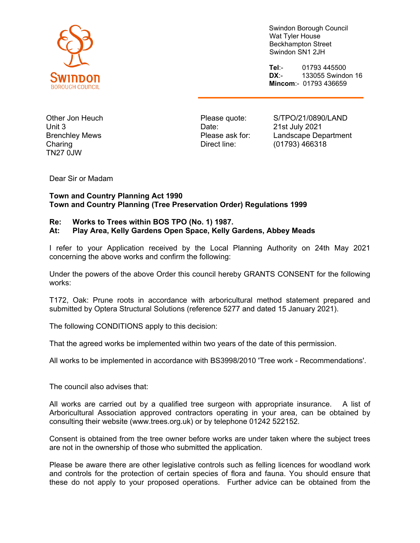

Swindon Borough Council Wat Tyler House Beckhampton Street Swindon SN1 2JH

**Tel**:- 01793 445500 **DX**:- 133055 Swindon 16 **Mincom**:- 01793 436659

Other Jon Heuch Unit 3 Brenchley Mews **Charing** TN27 0JW

Please quote: Date: Please ask for: Direct line:

S/TPO/21/0890/LAND 21st July 2021 Landscape Department (01793) 466318

Dear Sir or Madam

## **Town and Country Planning Act 1990 Town and Country Planning (Tree Preservation Order) Regulations 1999**

## **Re: Works to Trees within BOS TPO (No. 1) 1987.**

## **At: Play Area, Kelly Gardens Open Space, Kelly Gardens, Abbey Meads**

I refer to your Application received by the Local Planning Authority on 24th May 2021 concerning the above works and confirm the following:

Under the powers of the above Order this council hereby GRANTS CONSENT for the following works:

T172, Oak: Prune roots in accordance with arboricultural method statement prepared and submitted by Optera Structural Solutions (reference 5277 and dated 15 January 2021).

The following CONDITIONS apply to this decision:

That the agreed works be implemented within two years of the date of this permission.

All works to be implemented in accordance with BS3998/2010 'Tree work - Recommendations'.

The council also advises that:

All works are carried out by a qualified tree surgeon with appropriate insurance. A list of Arboricultural Association approved contractors operating in your area, can be obtained by consulting their website (www.trees.org.uk) or by telephone 01242 522152.

Consent is obtained from the tree owner before works are under taken where the subject trees are not in the ownership of those who submitted the application.

Please be aware there are other legislative controls such as felling licences for woodland work and controls for the protection of certain species of flora and fauna. You should ensure that these do not apply to your proposed operations. Further advice can be obtained from the